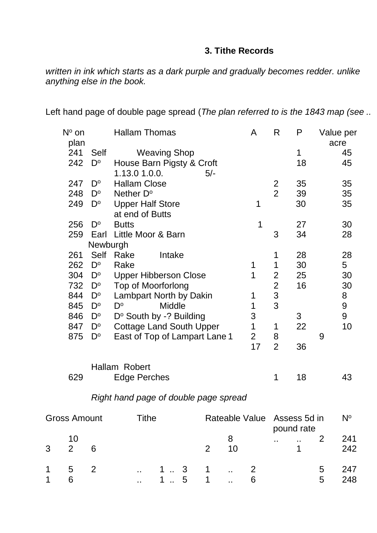## **3. Tithe Records**

*written in ink which starts as a dark purple and gradually becomes redder. unlike anything else in the book.* 

Left hand page of double page spread (*The plan referred to is the 1843 map (see ..*

|   | plan                |             | <b>Hallam Thomas</b>                  |                |                | A              | R              | P            |   | Value per<br>acre |
|---|---------------------|-------------|---------------------------------------|----------------|----------------|----------------|----------------|--------------|---|-------------------|
|   | 241                 | <b>Self</b> | <b>Weaving Shop</b>                   |                |                |                |                | 1            |   | 45                |
|   | 242                 | $D^{\circ}$ | House Barn Pigsty & Croft             |                |                |                |                | 18           |   | 45                |
|   |                     |             | 1.13.0 1.0.0.                         | $5/-$          |                |                |                |              |   |                   |
|   | 247                 | $D^{\circ}$ | <b>Hallam Close</b>                   |                |                |                | $\overline{2}$ | 35           |   | 35                |
|   | 248                 | $D^{\circ}$ | Nether D°                             |                |                |                | $\overline{2}$ | 39           |   | 35                |
|   | 249                 | $D^{\circ}$ | <b>Upper Half Store</b>               |                |                | 1              |                | 30           |   | 35                |
|   |                     |             | at end of Butts                       |                |                |                |                |              |   |                   |
|   | 256                 | $D^{\circ}$ | <b>Butts</b>                          |                |                | 1              |                | 27           |   | 30                |
|   | 259                 | Earl        | Little Moor & Barn                    |                |                |                | 3              | 34           |   | 28                |
|   |                     | Newburgh    |                                       |                |                |                |                |              |   |                   |
|   | 261                 | Self        | Rake<br>Intake                        |                |                |                | 1              | 28           |   | 28                |
|   | 262                 | $D^{\circ}$ | Rake                                  |                |                | $\mathbf 1$    | $\mathbf 1$    | 30           |   | 5 <sup>5</sup>    |
|   | 304                 | $D^{\circ}$ | <b>Upper Hibberson Close</b>          |                |                | 1              | $\overline{2}$ | 25           |   | 30                |
|   | 732                 | $D^{\circ}$ | <b>Top of Moorforlong</b>             |                |                |                | $\overline{2}$ | 16           |   | 30                |
|   | 844                 | $D^{\circ}$ | Lambpart North by Dakin               |                |                | 1              | 3              |              |   | 8                 |
|   | 845                 | $D^{\circ}$ | D°<br><b>Middle</b>                   |                |                | 1              | 3              |              |   | 9                 |
|   | 846                 | $D^{\circ}$ | D° South by -? Building               |                |                | 3              |                | 3            |   | 9                 |
|   | 847                 | $D^{\circ}$ | <b>Cottage Land South Upper</b>       |                |                | 1              | 1              | 22           |   | 10                |
|   | 875                 | $D^{\circ}$ | East of Top of Lampart Lane 1         |                |                | $\overline{2}$ | 8              |              | 9 |                   |
|   |                     |             |                                       |                |                | 17             | $\overline{2}$ | 36           |   |                   |
|   |                     |             | Hallam Robert                         |                |                |                |                |              |   |                   |
|   | 629                 |             | <b>Edge Perches</b>                   |                |                |                | 1              | 18           |   | 43                |
|   |                     |             | Right hand page of double page spread |                |                |                |                |              |   |                   |
|   | <b>Gross Amount</b> |             | <b>Tithe</b>                          |                | Rateable Value |                |                | Assess 5d in |   | $N^{\circ}$       |
|   |                     |             |                                       |                |                |                |                | pound rate   |   |                   |
|   | 10                  |             |                                       |                | 8              |                |                |              | 2 | 241               |
| 3 | $\overline{2}$      | 6           |                                       | $\overline{2}$ | 10             |                |                | 1            |   | 242               |

1 5 2 .. 1 .. 3 1 .. 2 5 247<br>1 6 .. 1 .. 5 1 .. 6 5 248 1 6 ... 1 .. 5 1 ... 6 5 248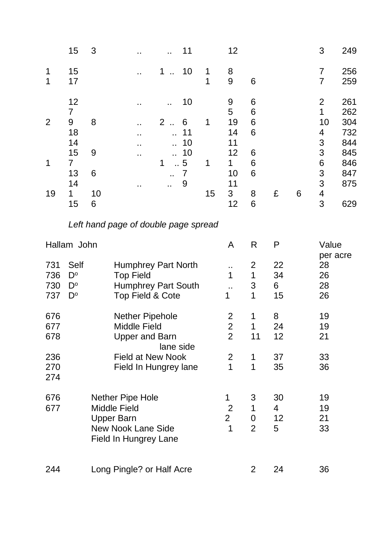|                           | 15                                                                      | 3                      |                                                                                                                                  |                                                   | 11                                                    |              | 12                                                                       |                                           |                     |   | 3                                                                           | 249                                                                |
|---------------------------|-------------------------------------------------------------------------|------------------------|----------------------------------------------------------------------------------------------------------------------------------|---------------------------------------------------|-------------------------------------------------------|--------------|--------------------------------------------------------------------------|-------------------------------------------|---------------------|---|-----------------------------------------------------------------------------|--------------------------------------------------------------------|
| 1<br>1                    | 15<br>17                                                                |                        |                                                                                                                                  | 1<br>$\ddot{\phantom{a}}$                         | 10                                                    | 1<br>1       | 8<br>9                                                                   | 6                                         |                     |   | $\overline{7}$<br>$\overline{7}$                                            | 256<br>259                                                         |
| $\overline{2}$<br>1<br>19 | 12<br>$\overline{7}$<br>9<br>18<br>14<br>15<br>7<br>13<br>14<br>1<br>15 | 8<br>9<br>6<br>10<br>6 |                                                                                                                                  | $\ddot{\phantom{1}}$<br>$\overline{2}$<br>ä.<br>1 | 10<br>6<br>11<br>10<br>10<br>5<br>$\overline{7}$<br>9 | 1<br>1<br>15 | 9<br>5<br>19<br>14<br>11<br>12<br>1<br>10<br>11<br>$3\phantom{.0}$<br>12 | 6<br>6<br>6<br>6<br>6<br>6<br>6<br>8<br>6 | £                   | 6 | $\overline{2}$<br>$\mathbf 1$<br>10<br>4<br>3<br>3<br>6<br>3<br>3<br>4<br>3 | 261<br>262<br>304<br>732<br>844<br>845<br>846<br>847<br>875<br>629 |
|                           |                                                                         |                        | Left hand page of double page spread                                                                                             |                                                   |                                                       |              |                                                                          |                                           |                     |   |                                                                             |                                                                    |
|                           | Hallam John                                                             |                        |                                                                                                                                  |                                                   |                                                       |              | A                                                                        | $\mathsf{R}$                              | P                   |   | Value                                                                       | per acre                                                           |
| 731<br>736<br>730<br>737  | Self<br>$D^{\rm o}$<br>$D^{\circ}$<br>$D^{\circ}$                       |                        | <b>Humphrey Part North</b><br><b>Top Field</b><br><b>Humphrey Part South</b><br><b>Top Field &amp; Cote</b>                      |                                                   |                                                       |              | $\sim$<br>1<br>1                                                         | 2<br>1<br>3<br>1                          | 22<br>34<br>6<br>15 |   | 28<br>26<br>28<br>26                                                        |                                                                    |
| 676<br>677<br>678         |                                                                         |                        | Nether Pipehole<br><b>Middle Field</b><br><b>Upper and Barn</b>                                                                  | lane side                                         |                                                       |              | $\overline{2}$<br>$\overline{2}$<br>$\overline{2}$                       | 1<br>1<br>11                              | 8<br>24<br>12       |   | 19<br>19<br>21                                                              |                                                                    |
| 236<br>270<br>274         |                                                                         |                        | <b>Field at New Nook</b><br>Field In Hungrey lane                                                                                |                                                   |                                                       |              | $\overline{2}$<br>1                                                      | 1<br>1                                    | 37<br>35            |   | 33<br>36                                                                    |                                                                    |
| 676<br>677                |                                                                         |                        | <b>Nether Pipe Hole</b><br><b>Middle Field</b><br><b>Upper Barn</b><br><b>New Nook Lane Side</b><br><b>Field In Hungrey Lane</b> |                                                   |                                                       |              | 1<br>$\overline{2}$<br>$\overline{2}$<br>1                               | 3<br>1<br>0<br>$\overline{2}$             | 30<br>4<br>12<br>5  |   | 19<br>19<br>21<br>33                                                        |                                                                    |
| 244                       |                                                                         |                        | Long Pingle? or Half Acre                                                                                                        |                                                   |                                                       |              |                                                                          | $\overline{2}$                            | 24                  |   | 36                                                                          |                                                                    |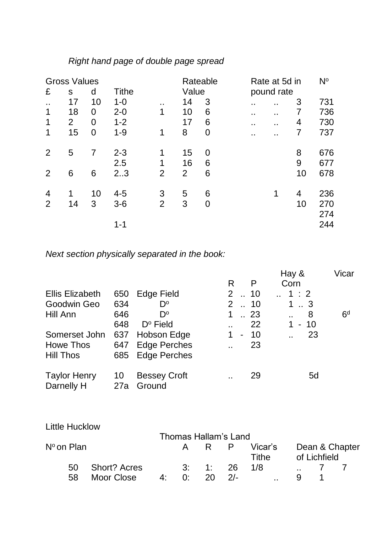## *Right hand page of double page spread*

|                      | <b>Gross Values</b> |    |              |                | Rateable       |             |                | Rate at 5d in  |    | $N^{\circ}$ |
|----------------------|---------------------|----|--------------|----------------|----------------|-------------|----------------|----------------|----|-------------|
| £                    | S                   | d  | <b>Tithe</b> |                | Value          |             |                | pound rate     |    |             |
| $\ddot{\phantom{a}}$ | 17                  | 10 | $1 - 0$      | $\bullet$      | 14             | 3           | . .            | . .            | 3  | 731         |
| 1                    | 18                  | 0  | $2 - 0$      | 1              | 10             | 6           | . .            | $\blacksquare$ |    | 736         |
| 1                    | 2                   | 0  | $1 - 2$      |                | 17             | 6           | . .            | $\blacksquare$ | 4  | 730         |
| 1                    | 15                  | 0  | $1 - 9$      | 1              | 8              | $\mathbf 0$ | $\blacksquare$ | $\blacksquare$ |    | 737         |
| 2                    | 5                   | 7  | $2 - 3$      | 1              | 15             | 0           |                |                | 8  | 676         |
|                      |                     |    | 2.5          | 1              | 16             | 6           |                |                | 9  | 677         |
| 2                    | 6                   | 6  | 2.3          | $\overline{2}$ | $\overline{2}$ | 6           |                |                | 10 | 678         |
| 4                    | 1                   | 10 | $4 - 5$      | 3              | 5              | 6           |                | 1              | 4  | 236         |
| 2                    | 14                  | 3  | $3-6$        | $\overline{2}$ | 3              | 0           |                |                | 10 | 270         |
|                      |                     |    |              |                |                |             |                |                |    | 274         |
|                      |                     |    | $1 - 1$      |                |                |             |                |                |    | 244         |

*Next section physically separated in the book:*

|                                   |           |                               |                      |                |                 | Hay &                       | Vicar          |
|-----------------------------------|-----------|-------------------------------|----------------------|----------------|-----------------|-----------------------------|----------------|
|                                   |           |                               | R                    |                | P               | Corn                        |                |
| <b>Ellis Elizabeth</b>            | 650       | Edge Field                    | $\mathbf{2}$         |                | $\therefore$ 10 | 1:2                         |                |
| Goodwin Geo                       | 634       | D°                            | $\mathbf{2}$         |                | $\therefore$ 10 | 13                          |                |
| Hill Ann                          | 646       | $D^{\circ}$                   | 1                    |                | $\therefore$ 23 | 8<br>$\ddot{\phantom{a}}$   | 6 <sup>d</sup> |
|                                   | 648       | $D^{\circ}$ Field             |                      |                | 22              | 1.<br>-10<br>$\blacksquare$ |                |
| Somerset John                     | 637       | Hobson Edge                   |                      | $\blacksquare$ | 10              | 23<br>. .                   |                |
| Howe Thos                         | 647       | <b>Edge Perches</b>           | . .                  |                | 23              |                             |                |
| <b>Hill Thos</b>                  | 685       | <b>Edge Perches</b>           |                      |                |                 |                             |                |
| <b>Taylor Henry</b><br>Darnelly H | 10<br>27a | <b>Bessey Croft</b><br>Ground | $\ddot{\phantom{a}}$ |                | 29              | 5d                          |                |

| <b>Little Hucklow</b> |                     |    |     |                      |                  |               |                |  |
|-----------------------|---------------------|----|-----|----------------------|------------------|---------------|----------------|--|
|                       |                     |    |     | Thomas Hallam's Land |                  |               |                |  |
| Nº on Plan            |                     |    | R P |                      | Vicar's<br>Tithe | of Lichfield  | Dean & Chapter |  |
| 50                    | <b>Short? Acres</b> |    |     | 3: 1: 26             |                  | 1/8           |                |  |
| 58                    | Moor Close          | 4. | ∩∙  |                      | $2/-$            | $\sim$ $\sim$ |                |  |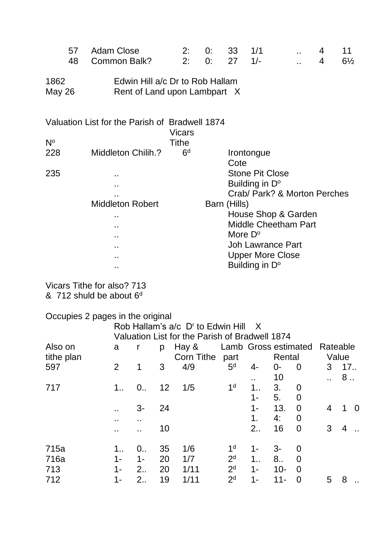|                       | 57 | <b>Adam Close</b>                                               | 2:             | 0:           | 33               | 1/1                          | 4 | 11             |
|-----------------------|----|-----------------------------------------------------------------|----------------|--------------|------------------|------------------------------|---|----------------|
|                       | 48 | Common Balk?                                                    | 2:             | 0:           | 27               | $1/-$                        | 4 | $6\frac{1}{2}$ |
| 1862<br><b>May 26</b> |    | Edwin Hill a/c Dr to Rob Hallam<br>Rent of Land upon Lambpart X |                |              |                  |                              |   |                |
|                       |    | Valuation List for the Parish of Bradwell 1874                  |                |              |                  |                              |   |                |
|                       |    |                                                                 | <b>Vicars</b>  |              |                  |                              |   |                |
| $N^{\circ}$           |    |                                                                 | Tithe          |              |                  |                              |   |                |
| 228                   |    | Middleton Chilih.?                                              | 6 <sup>d</sup> |              |                  | Irontongue                   |   |                |
|                       |    |                                                                 |                |              | Cote             |                              |   |                |
| 235                   |    | ٠.                                                              |                |              |                  | <b>Stone Pit Close</b>       |   |                |
|                       |    | $\blacksquare$                                                  |                |              |                  | Building in D°               |   |                |
|                       |    |                                                                 |                |              |                  | Crab/ Park? & Morton Perches |   |                |
|                       |    | <b>Middleton Robert</b>                                         |                | Barn (Hills) |                  |                              |   |                |
|                       |    | . .                                                             |                |              |                  | House Shop & Garden          |   |                |
|                       |    | . .                                                             |                |              |                  | <b>Middle Cheetham Part</b>  |   |                |
|                       |    | $\blacksquare$                                                  |                |              | More $D^{\circ}$ |                              |   |                |
|                       |    | . .                                                             |                |              |                  | <b>Joh Lawrance Part</b>     |   |                |
|                       |    | $\bullet$ $\bullet$                                             |                |              |                  | <b>Upper More Close</b>      |   |                |
|                       |    | $\sim$ $\sim$                                                   |                |              |                  | Building in D°               |   |                |

Vicars Tithe for also? 713  $& 712$  shuld be about  $6<sup>d</sup>$ 

Occupies 2 pages in the original

|            |                |                     |    | Rob Hallam's a/c D' to Edwin Hill              |                               | X              |        |                |   |                |          |
|------------|----------------|---------------------|----|------------------------------------------------|-------------------------------|----------------|--------|----------------|---|----------------|----------|
|            |                |                     |    | Valuation List for the Parish of Bradwell 1874 |                               |                |        |                |   |                |          |
| Also on    | a              | r                   | p  | Hay &                                          | Lamb Gross estimated Rateable |                |        |                |   |                |          |
| tithe plan |                |                     |    | Corn Tithe                                     | part                          |                | Rental |                |   | Value          |          |
| 597        | 2              | 1                   | 3  | 4/9                                            | 5 <sup>d</sup>                | 4-             | $0-$   | 0              | 3 | 17.            |          |
|            |                |                     |    |                                                |                               | $\blacksquare$ | 10     |                |   | 8              |          |
| 717        | $1_{}$         | $0_{1}$             | 12 | 1/5                                            | 1 <sup>d</sup>                | 1.5            | 3.     | $\overline{0}$ |   |                |          |
|            |                |                     |    |                                                |                               | $1 -$          | 5.     | $\overline{0}$ |   |                |          |
|            |                | 3-                  | 24 |                                                |                               | $1 -$          | 13.    | $\overline{0}$ | 4 |                | $\Omega$ |
|            | $\blacksquare$ | $\bullet$ $\bullet$ |    |                                                |                               | 1.             | 4:     | $\overline{0}$ |   |                |          |
|            |                | . .                 | 10 |                                                |                               | 2.             | 16     | $\overline{0}$ | 3 | $\overline{4}$ |          |
| 715a       | 1              | $0_{1}$             | 35 | 1/6                                            | 1 <sup>d</sup>                | $1 -$          | 3-     | $\overline{0}$ |   |                |          |
| 716a       | $1 -$          | 1-                  | 20 | 1/7                                            | 2 <sup>d</sup>                | 1              | 8      | $\overline{0}$ |   |                |          |
| 713        | $1 -$          | $2_{\cdot}$         | 20 | 1/11                                           | 2 <sup>d</sup>                | $1 -$          | $10 -$ | $\overline{0}$ |   |                |          |
| 712        | $1 -$          | 2.5                 | 19 | 1/11                                           | 2 <sup>d</sup>                | $1 -$          | $11 -$ | $\overline{0}$ | 5 | 8              |          |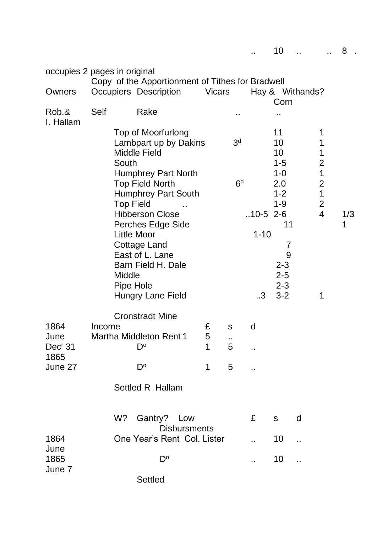|                                     | occupies 2 pages in original | Copy of the Apportionment of Tithes for Bradwell                                                                                  |               |                      |                          |                                      |                 |                                                                |          |
|-------------------------------------|------------------------------|-----------------------------------------------------------------------------------------------------------------------------------|---------------|----------------------|--------------------------|--------------------------------------|-----------------|----------------------------------------------------------------|----------|
| Owners                              |                              | Occupiers Description                                                                                                             | <b>Vicars</b> |                      |                          | Corn                                 | Hay & Withands? |                                                                |          |
| Rob.&<br>I. Hallam                  | <b>Self</b>                  | Rake                                                                                                                              |               | . .                  |                          |                                      |                 |                                                                |          |
|                                     | South                        | <b>Top of Moorfurlong</b><br>Lambpart up by Dakins<br><b>Middle Field</b>                                                         |               | 3 <sup>d</sup>       |                          | 11<br>10<br>10<br>$1 - 5$            |                 | 1<br>1<br>1<br>$\overline{2}$                                  |          |
|                                     |                              | <b>Humphrey Part North</b><br><b>Top Field North</b><br><b>Humphrey Part South</b><br><b>Top Field</b>                            |               | 6 <sup>d</sup>       |                          | $1 - 0$<br>2.0<br>$1 - 2$<br>$1 - 9$ |                 | $\mathbf 1$<br>$\overline{2}$<br>$\mathbf 1$<br>$\overline{2}$ |          |
|                                     |                              | <b>Hibberson Close</b><br>Perches Edge Side<br><b>Little Moor</b><br><b>Cottage Land</b><br>East of L. Lane<br>Barn Field H. Dale |               |                      | $.10-5$ 2-6<br>$1 - 10$  | 11<br>7<br>9<br>$2 - 3$              |                 | $\overline{4}$                                                 | 1/3<br>1 |
|                                     | Middle                       | Pipe Hole<br><b>Hungry Lane Field</b>                                                                                             |               |                      | .3                       | $2 - 5$<br>$2 - 3$<br>$3 - 2$        |                 | 1                                                              |          |
| 1864<br>June<br>Dec <sup>r</sup> 31 | Income                       | <b>Cronstradt Mine</b><br><b>Martha Middleton Rent 1</b><br>D°                                                                    | £<br>5<br>1   | ${\sf S}$<br>٠,<br>5 | d<br>$\bullet$ $\bullet$ |                                      |                 |                                                                |          |
| 1865<br>June 27                     |                              | $D^{\circ}$                                                                                                                       | $\mathbf 1$   | 5                    |                          |                                      |                 |                                                                |          |
|                                     |                              | <b>Settled R Hallam</b>                                                                                                           |               |                      |                          |                                      |                 |                                                                |          |
|                                     | W?                           | Gantry? Low<br><b>Disbursments</b>                                                                                                |               |                      | £                        | $\mathbf S$                          | d               |                                                                |          |
| 1864<br>June                        |                              | One Year's Rent Col. Lister                                                                                                       |               |                      |                          | 10                                   |                 |                                                                |          |
| 1865<br>June 7                      |                              | $D^{\circ}$                                                                                                                       |               |                      |                          | 10                                   |                 |                                                                |          |

Settled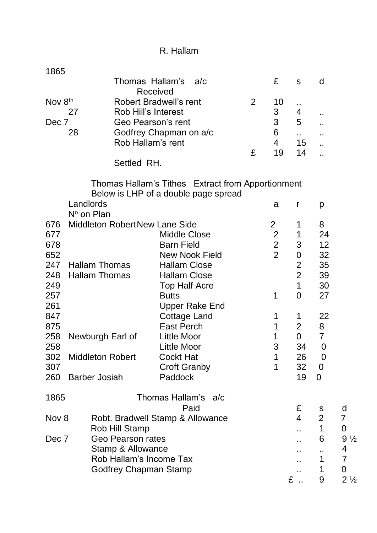| R. Hallam |  |
|-----------|--|
|-----------|--|

| 1865    |            |                                       |                                                   |   |                |                  |                  |                  |  |  |  |  |  |
|---------|------------|---------------------------------------|---------------------------------------------------|---|----------------|------------------|------------------|------------------|--|--|--|--|--|
|         |            |                                       | Thomas Hallam's<br>a/c<br><b>Received</b>         |   | £              | ${\sf S}$        | d                |                  |  |  |  |  |  |
| Nov 8th |            |                                       | <b>Robert Bradwell's rent</b>                     | 2 | 10             |                  |                  |                  |  |  |  |  |  |
|         | 27         | Rob Hill's Interest                   |                                                   |   | $\mathfrak{S}$ | ٠.<br>4          |                  |                  |  |  |  |  |  |
| Dec 7   |            |                                       | Geo Pearson's rent                                |   | 3              | 5                | Ω,               |                  |  |  |  |  |  |
|         | 28         |                                       | Godfrey Chapman on a/c                            |   | 6              |                  |                  |                  |  |  |  |  |  |
|         |            |                                       | Rob Hallam's rent                                 |   | 4              | å.<br>15         | Ω,               |                  |  |  |  |  |  |
|         |            |                                       |                                                   | £ | 19             | 14               | Ω.               |                  |  |  |  |  |  |
|         |            | Settled RH.                           |                                                   |   |                |                  |                  |                  |  |  |  |  |  |
|         |            |                                       | Thomas Hallam's Tithes Extract from Apportionment |   |                |                  |                  |                  |  |  |  |  |  |
|         |            |                                       | Below is LHP of a double page spread              |   |                |                  |                  |                  |  |  |  |  |  |
|         | Landlords  |                                       |                                                   |   | a              | r                | p                |                  |  |  |  |  |  |
|         | Nº on Plan |                                       |                                                   |   |                |                  |                  |                  |  |  |  |  |  |
| 676     |            | <b>Middleton Robert New Lane Side</b> |                                                   |   | $\overline{2}$ | 1                | 8                |                  |  |  |  |  |  |
| 677     |            |                                       | <b>Middle Close</b>                               |   | $\overline{2}$ | 1                | 24               |                  |  |  |  |  |  |
| 678     |            |                                       | <b>Barn Field</b>                                 |   | $\overline{2}$ | 3                | 12               |                  |  |  |  |  |  |
| 652     |            |                                       | <b>New Nook Field</b>                             |   | $\overline{2}$ | $\boldsymbol{0}$ | 32               |                  |  |  |  |  |  |
| 247     |            | <b>Hallam Thomas</b>                  | <b>Hallam Close</b>                               |   |                | $\overline{2}$   | 35               |                  |  |  |  |  |  |
| 248     |            | <b>Hallam Thomas</b>                  | <b>Hallam Close</b>                               |   |                | $\overline{2}$   | 39               |                  |  |  |  |  |  |
| 249     |            |                                       | <b>Top Half Acre</b>                              |   |                | 1                | 30               |                  |  |  |  |  |  |
| 257     |            |                                       | <b>Butts</b>                                      |   | 1              | $\overline{0}$   | 27               |                  |  |  |  |  |  |
| 261     |            |                                       | <b>Upper Rake End</b>                             |   |                |                  |                  |                  |  |  |  |  |  |
| 847     |            |                                       | <b>Cottage Land</b>                               |   | 1              | 1                | 22               |                  |  |  |  |  |  |
| 875     |            |                                       | <b>East Perch</b>                                 |   | 1              | $\overline{2}$   | 8                |                  |  |  |  |  |  |
| 258     |            | Newburgh Earl of                      | <b>Little Moor</b>                                |   | 1              | $\mathbf 0$      | $\overline{7}$   |                  |  |  |  |  |  |
| 258     |            |                                       | <b>Little Moor</b>                                |   | 3              | 34               | $\mathbf 0$      |                  |  |  |  |  |  |
| 302     |            | <b>Middleton Robert</b>               | <b>Cockt Hat</b>                                  |   | 1              | 26               | $\boldsymbol{0}$ |                  |  |  |  |  |  |
| 307     |            |                                       | <b>Croft Granby</b>                               |   | 1              | 32               | $\mathbf 0$      |                  |  |  |  |  |  |
| 260     |            | <b>Barber Josiah</b>                  | Paddock                                           |   |                | 19               | 0                |                  |  |  |  |  |  |
| 1865    |            |                                       | Thomas Hallam's a/c                               |   |                |                  |                  |                  |  |  |  |  |  |
|         |            |                                       | Paid                                              |   |                | £                | ${\sf S}$        | d                |  |  |  |  |  |
| Nov 8   |            |                                       | Robt. Bradwell Stamp & Allowance                  |   |                | $\overline{4}$   | $\overline{2}$   | 7                |  |  |  |  |  |
|         |            | Rob Hill Stamp                        |                                                   |   |                |                  | 1                | $\boldsymbol{0}$ |  |  |  |  |  |
| Dec 7   |            | Geo Pearson rates                     |                                                   |   |                |                  | 6                | $9\frac{1}{2}$   |  |  |  |  |  |
|         |            | Stamp & Allowance                     |                                                   |   |                |                  |                  | 4                |  |  |  |  |  |
|         |            | Rob Hallam's Income Tax               |                                                   |   |                |                  | 1                | $\overline{7}$   |  |  |  |  |  |
|         |            | Godfrey Chapman Stamp                 |                                                   |   |                |                  | 1                | 0                |  |  |  |  |  |
|         |            |                                       |                                                   |   |                | £.               | 9                | $2\frac{1}{2}$   |  |  |  |  |  |
|         |            |                                       |                                                   |   |                |                  |                  |                  |  |  |  |  |  |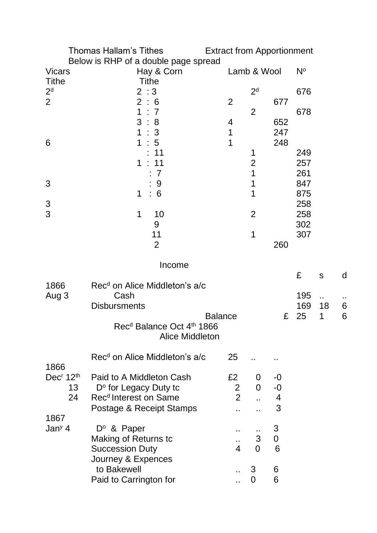|                                   | Thomas Hallam's Tithes<br>Below is RHP of a double page spread | <b>Extract from Apportionment</b> |                |                |             |              |   |
|-----------------------------------|----------------------------------------------------------------|-----------------------------------|----------------|----------------|-------------|--------------|---|
| <b>Vicars</b>                     | Hay & Corn                                                     |                                   | Lamb & Wool    |                | $N^{\circ}$ |              |   |
| <b>Tithe</b>                      | <b>Tithe</b>                                                   |                                   |                |                |             |              |   |
| 2 <sup>d</sup>                    | 2:3                                                            |                                   | 2 <sup>d</sup> |                | 676         |              |   |
| $\overline{2}$                    | 2:6                                                            | $\overline{2}$                    |                | 677            |             |              |   |
|                                   | $\mathbf 1$<br>$\therefore$ 7                                  |                                   | $\overline{2}$ |                | 678         |              |   |
|                                   | 3:8                                                            | 4                                 |                | 652            |             |              |   |
|                                   | 1<br>3                                                         | 1                                 |                | 247            |             |              |   |
| 6                                 | 1<br>$5\overline{)}$                                           | 1                                 |                | 248            |             |              |   |
|                                   | 11                                                             |                                   | 1              |                | 249         |              |   |
|                                   | $\mathbf 1$<br>11                                              |                                   | $\overline{2}$ |                | 257         |              |   |
|                                   | 7                                                              |                                   | 1              |                | 261         |              |   |
| 3                                 | 9                                                              |                                   | 1              |                | 847         |              |   |
|                                   | 6<br>1                                                         |                                   | 1              |                | 875         |              |   |
| 3                                 |                                                                |                                   |                |                | 258         |              |   |
| 3                                 | $\mathbf 1$<br>10                                              |                                   | $\overline{2}$ |                | 258         |              |   |
|                                   | 9                                                              |                                   |                |                | 302         |              |   |
|                                   | 11                                                             |                                   | 1              |                | 307         |              |   |
|                                   | $\overline{2}$                                                 |                                   |                | 260            |             |              |   |
|                                   |                                                                |                                   |                |                |             |              |   |
|                                   | Income                                                         |                                   |                |                |             |              |   |
|                                   |                                                                |                                   |                |                | £           | $\mathsf{S}$ | d |
| 1866                              | Rec <sup>d</sup> on Alice Middleton's a/c                      |                                   |                |                |             |              |   |
| Aug 3                             | Cash                                                           |                                   |                |                | 195         | Ω,           |   |
|                                   | <b>Disbursments</b>                                            |                                   |                |                | 169         | 18           | 6 |
|                                   |                                                                | <b>Balance</b>                    |                | £              | 25          | 1            | 6 |
|                                   | Rec <sup>d</sup> Balance Oct 4 <sup>th</sup> 1866              |                                   |                |                |             |              |   |
|                                   | <b>Alice Middleton</b>                                         |                                   |                |                |             |              |   |
|                                   |                                                                |                                   |                |                |             |              |   |
|                                   | Rec <sup>d</sup> on Alice Middleton's a/c                      | 25                                |                |                |             |              |   |
| 1866                              |                                                                |                                   |                |                |             |              |   |
| Dec <sup>r</sup> 12 <sup>th</sup> | Paid to A Middleton Cash                                       | £2                                | 0              | $-0$           |             |              |   |
| 13                                | D° for Legacy Duty to                                          | $\overline{2}$                    | $\overline{0}$ | $-0$           |             |              |   |
| 24                                | Rec <sup>d</sup> Interest on Same                              | $2^{\circ}$                       |                | $\overline{4}$ |             |              |   |
|                                   | Postage & Receipt Stamps                                       |                                   |                | 3              |             |              |   |
| 1867                              |                                                                |                                   |                |                |             |              |   |
| Jan <sup>y</sup> 4                | $D^{\circ}$ & Paper                                            |                                   |                | 3              |             |              |   |
|                                   | <b>Making of Returns tc</b>                                    | $\ddot{\phantom{1}}$              | 3              | $\pmb{0}$      |             |              |   |
|                                   | <b>Succession Duty</b>                                         | $\overline{\mathcal{A}}$          | $\overline{0}$ | 6              |             |              |   |
|                                   | Journey & Expences                                             |                                   |                |                |             |              |   |
|                                   | to Bakewell                                                    |                                   | 3              | 6              |             |              |   |
|                                   | Paid to Carrington for                                         |                                   | $\overline{0}$ | 6              |             |              |   |